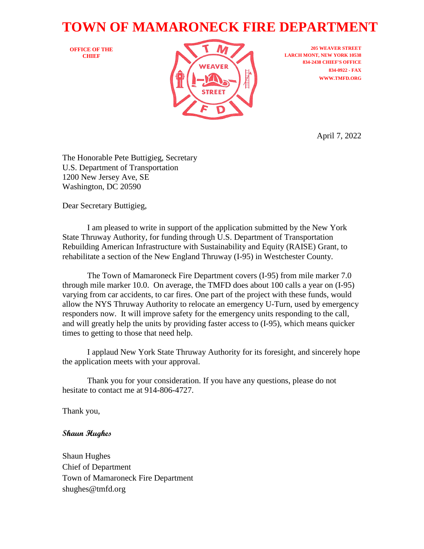## **TOWN OF MAMARONECK FIRE DEPARTMENT**

**OFFICE OF THE CHIEF**



**205 WEAVER STREET LARCH MONT, NEW YORK 10538 834-2438 CHIEF'S OFFICE 834-0922 - FAX WWW.TMFD.ORG**

April 7, 2022

The Honorable Pete Buttigieg, Secretary U.S. Department of Transportation 1200 New Jersey Ave, SE Washington, DC 20590

Dear Secretary Buttigieg,

I am pleased to write in support of the application submitted by the New York State Thruway Authority, for funding through U.S. Department of Transportation Rebuilding American Infrastructure with Sustainability and Equity (RAISE) Grant, to rehabilitate a section of the New England Thruway (I-95) in Westchester County.

The Town of Mamaroneck Fire Department covers (I-95) from mile marker 7.0 through mile marker 10.0. On average, the TMFD does about 100 calls a year on (I-95) varying from car accidents, to car fires. One part of the project with these funds, would allow the NYS Thruway Authority to relocate an emergency U-Turn, used by emergency responders now. It will improve safety for the emergency units responding to the call, and will greatly help the units by providing faster access to (I-95), which means quicker times to getting to those that need help.

I applaud New York State Thruway Authority for its foresight, and sincerely hope the application meets with your approval.

Thank you for your consideration. If you have any questions, please do not hesitate to contact me at 914-806-4727.

Thank you,

## **Shaun Hughes**

Shaun Hughes Chief of Department Town of Mamaroneck Fire Department shughes@tmfd.org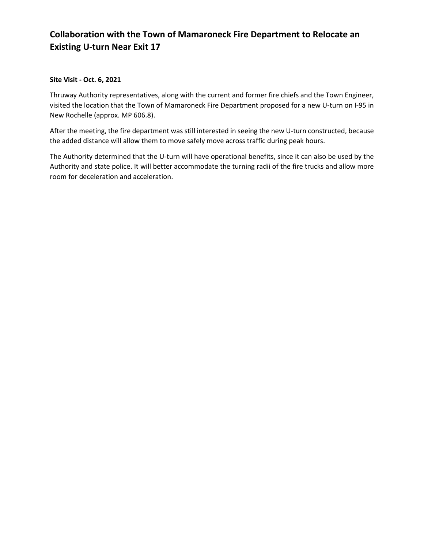## **Collaboration with the Town of Mamaroneck Fire Department to Relocate an Existing U-turn Near Exit 17**

## **Site Visit - Oct. 6, 2021**

Thruway Authority representatives, along with the current and former fire chiefs and the Town Engineer, visited the location that the Town of Mamaroneck Fire Department proposed for a new U-turn on I-95 in New Rochelle (approx. MP 606.8).

After the meeting, the fire department was still interested in seeing the new U-turn constructed, because the added distance will allow them to move safely move across traffic during peak hours.

The Authority determined that the U-turn will have operational benefits, since it can also be used by the Authority and state police. It will better accommodate the turning radii of the fire trucks and allow more room for deceleration and acceleration.